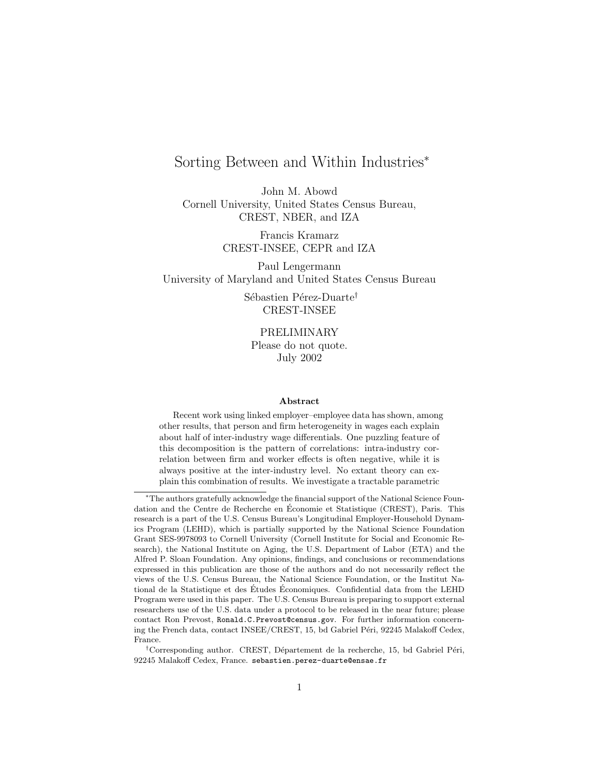# Sorting Between and Within Industries<sup>∗</sup>

John M. Abowd Cornell University, United States Census Bureau, CREST, NBER, and IZA

> Francis Kramarz CREST-INSEE, CEPR and IZA

Paul Lengermann University of Maryland and United States Census Bureau

> Sébastien Pérez-Duarte<sup>†</sup> CREST-INSEE

PRELIMINARY Please do not quote. July 2002

#### Abstract

Recent work using linked employer–employee data has shown, among other results, that person and firm heterogeneity in wages each explain about half of inter-industry wage differentials. One puzzling feature of this decomposition is the pattern of correlations: intra-industry correlation between firm and worker effects is often negative, while it is always positive at the inter-industry level. No extant theory can explain this combination of results. We investigate a tractable parametric

<sup>∗</sup>The authors gratefully acknowledge the financial support of the National Science Foundation and the Centre de Recherche en Economie et Statistique (CREST), Paris. This ´ research is a part of the U.S. Census Bureau's Longitudinal Employer-Household Dynamics Program (LEHD), which is partially supported by the National Science Foundation Grant SES-9978093 to Cornell University (Cornell Institute for Social and Economic Research), the National Institute on Aging, the U.S. Department of Labor (ETA) and the Alfred P. Sloan Foundation. Any opinions, findings, and conclusions or recommendations expressed in this publication are those of the authors and do not necessarily reflect the views of the U.S. Census Bureau, the National Science Foundation, or the Institut National de la Statistique et des Études Économiques. Confidential data from the LEHD Program were used in this paper. The U.S. Census Bureau is preparing to support external researchers use of the U.S. data under a protocol to be released in the near future; please contact Ron Prevost, Ronald.C.Prevost@census.gov. For further information concerning the French data, contact INSEE/CREST, 15, bd Gabriel Péri, 92245 Malakoff Cedex, France.

<sup>&</sup>lt;sup>†</sup>Corresponding author. CREST, Département de la recherche, 15, bd Gabriel Péri, 92245 Malakoff Cedex, France. sebastien.perez-duarte@ensae.fr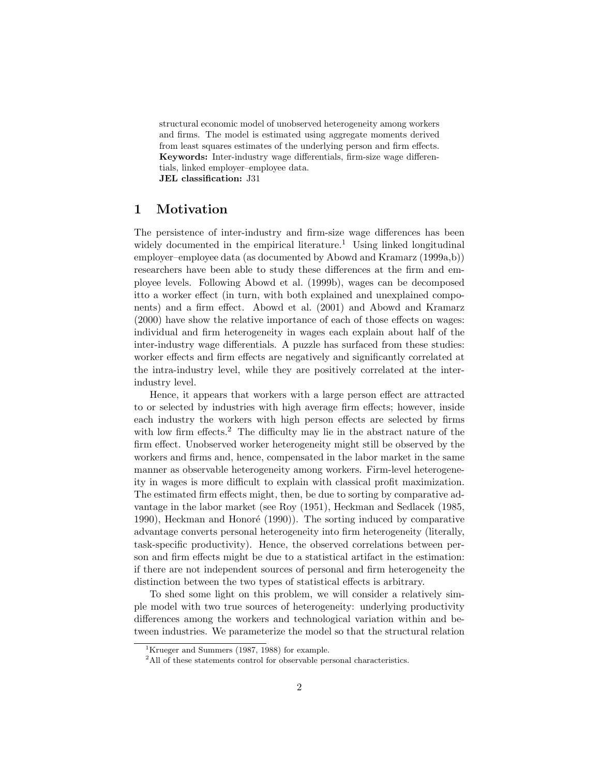structural economic model of unobserved heterogeneity among workers and firms. The model is estimated using aggregate moments derived from least squares estimates of the underlying person and firm effects. Keywords: Inter-industry wage differentials, firm-size wage differentials, linked employer–employee data. JEL classification: J31

# 1 Motivation

The persistence of inter-industry and firm-size wage differences has been widely documented in the empirical literature.<sup>1</sup> Using linked longitudinal employer–employee data (as documented by Abowd and Kramarz (1999a,b)) researchers have been able to study these differences at the firm and employee levels. Following Abowd et al. (1999b), wages can be decomposed itto a worker effect (in turn, with both explained and unexplained components) and a firm effect. Abowd et al. (2001) and Abowd and Kramarz (2000) have show the relative importance of each of those effects on wages: individual and firm heterogeneity in wages each explain about half of the inter-industry wage differentials. A puzzle has surfaced from these studies: worker effects and firm effects are negatively and significantly correlated at the intra-industry level, while they are positively correlated at the interindustry level.

Hence, it appears that workers with a large person effect are attracted to or selected by industries with high average firm effects; however, inside each industry the workers with high person effects are selected by firms with low firm effects.<sup>2</sup> The difficulty may lie in the abstract nature of the firm effect. Unobserved worker heterogeneity might still be observed by the workers and firms and, hence, compensated in the labor market in the same manner as observable heterogeneity among workers. Firm-level heterogeneity in wages is more difficult to explain with classical profit maximization. The estimated firm effects might, then, be due to sorting by comparative advantage in the labor market (see Roy (1951), Heckman and Sedlacek (1985, 1990), Heckman and Honoré (1990)). The sorting induced by comparative advantage converts personal heterogeneity into firm heterogeneity (literally, task-specific productivity). Hence, the observed correlations between person and firm effects might be due to a statistical artifact in the estimation: if there are not independent sources of personal and firm heterogeneity the distinction between the two types of statistical effects is arbitrary.

To shed some light on this problem, we will consider a relatively simple model with two true sources of heterogeneity: underlying productivity differences among the workers and technological variation within and between industries. We parameterize the model so that the structural relation

<sup>&</sup>lt;sup>1</sup>Krueger and Summers (1987, 1988) for example.

<sup>&</sup>lt;sup>2</sup>All of these statements control for observable personal characteristics.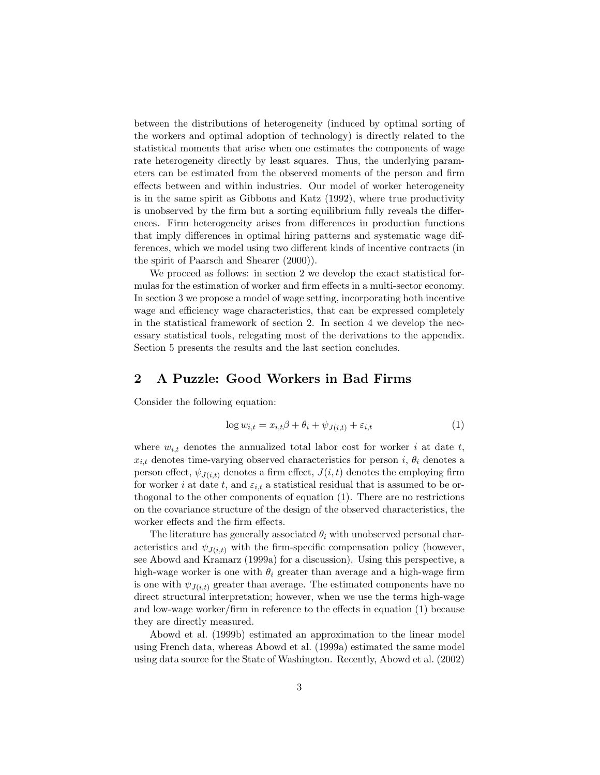between the distributions of heterogeneity (induced by optimal sorting of the workers and optimal adoption of technology) is directly related to the statistical moments that arise when one estimates the components of wage rate heterogeneity directly by least squares. Thus, the underlying parameters can be estimated from the observed moments of the person and firm effects between and within industries. Our model of worker heterogeneity is in the same spirit as Gibbons and Katz (1992), where true productivity is unobserved by the firm but a sorting equilibrium fully reveals the differences. Firm heterogeneity arises from differences in production functions that imply differences in optimal hiring patterns and systematic wage differences, which we model using two different kinds of incentive contracts (in the spirit of Paarsch and Shearer (2000)).

We proceed as follows: in section 2 we develop the exact statistical formulas for the estimation of worker and firm effects in a multi-sector economy. In section 3 we propose a model of wage setting, incorporating both incentive wage and efficiency wage characteristics, that can be expressed completely in the statistical framework of section 2. In section 4 we develop the necessary statistical tools, relegating most of the derivations to the appendix. Section 5 presents the results and the last section concludes.

# 2 A Puzzle: Good Workers in Bad Firms

Consider the following equation:

$$
\log w_{i,t} = x_{i,t}\beta + \theta_i + \psi_{J(i,t)} + \varepsilon_{i,t}
$$
\n(1)

where  $w_{i,t}$  denotes the annualized total labor cost for worker i at date t,  $x_{i,t}$  denotes time-varying observed characteristics for person i,  $\theta_i$  denotes a person effect,  $\psi_{J(i,t)}$  denotes a firm effect,  $J(i, t)$  denotes the employing firm for worker i at date t, and  $\varepsilon_{i,t}$  a statistical residual that is assumed to be orthogonal to the other components of equation (1). There are no restrictions on the covariance structure of the design of the observed characteristics, the worker effects and the firm effects.

The literature has generally associated  $\theta_i$  with unobserved personal characteristics and  $\psi_{J(i,t)}$  with the firm-specific compensation policy (however, see Abowd and Kramarz (1999a) for a discussion). Using this perspective, a high-wage worker is one with  $\theta_i$  greater than average and a high-wage firm is one with  $\psi_{J(i,t)}$  greater than average. The estimated components have no direct structural interpretation; however, when we use the terms high-wage and low-wage worker/firm in reference to the effects in equation (1) because they are directly measured.

Abowd et al. (1999b) estimated an approximation to the linear model using French data, whereas Abowd et al. (1999a) estimated the same model using data source for the State of Washington. Recently, Abowd et al. (2002)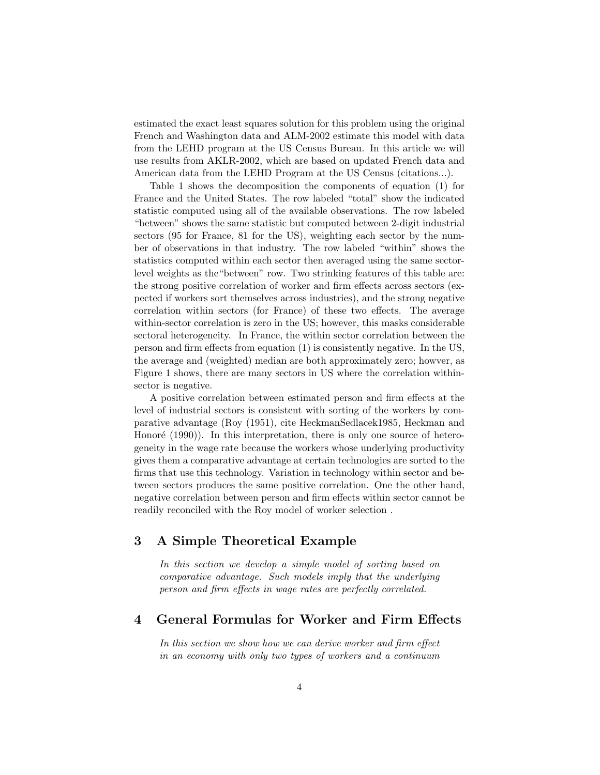estimated the exact least squares solution for this problem using the original French and Washington data and ALM-2002 estimate this model with data from the LEHD program at the US Census Bureau. In this article we will use results from AKLR-2002, which are based on updated French data and American data from the LEHD Program at the US Census (citations...).

Table 1 shows the decomposition the components of equation (1) for France and the United States. The row labeled "total" show the indicated statistic computed using all of the available observations. The row labeled "between" shows the same statistic but computed between 2-digit industrial sectors (95 for France, 81 for the US), weighting each sector by the number of observations in that industry. The row labeled "within" shows the statistics computed within each sector then averaged using the same sectorlevel weights as the"between" row. Two strinking features of this table are: the strong positive correlation of worker and firm effects across sectors (expected if workers sort themselves across industries), and the strong negative correlation within sectors (for France) of these two effects. The average within-sector correlation is zero in the US; however, this masks considerable sectoral heterogeneity. In France, the within sector correlation between the person and firm effects from equation (1) is consistently negative. In the US, the average and (weighted) median are both approximately zero; howver, as Figure 1 shows, there are many sectors in US where the correlation withinsector is negative.

A positive correlation between estimated person and firm effects at the level of industrial sectors is consistent with sorting of the workers by comparative advantage (Roy (1951), cite HeckmanSedlacek1985, Heckman and Honoré (1990)). In this interpretation, there is only one source of heterogeneity in the wage rate because the workers whose underlying productivity gives them a comparative advantage at certain technologies are sorted to the firms that use this technology. Variation in technology within sector and between sectors produces the same positive correlation. One the other hand, negative correlation between person and firm effects within sector cannot be readily reconciled with the Roy model of worker selection .

# 3 A Simple Theoretical Example

In this section we develop a simple model of sorting based on comparative advantage. Such models imply that the underlying person and firm effects in wage rates are perfectly correlated.

### 4 General Formulas for Worker and Firm Effects

In this section we show how we can derive worker and firm effect in an economy with only two types of workers and a continuum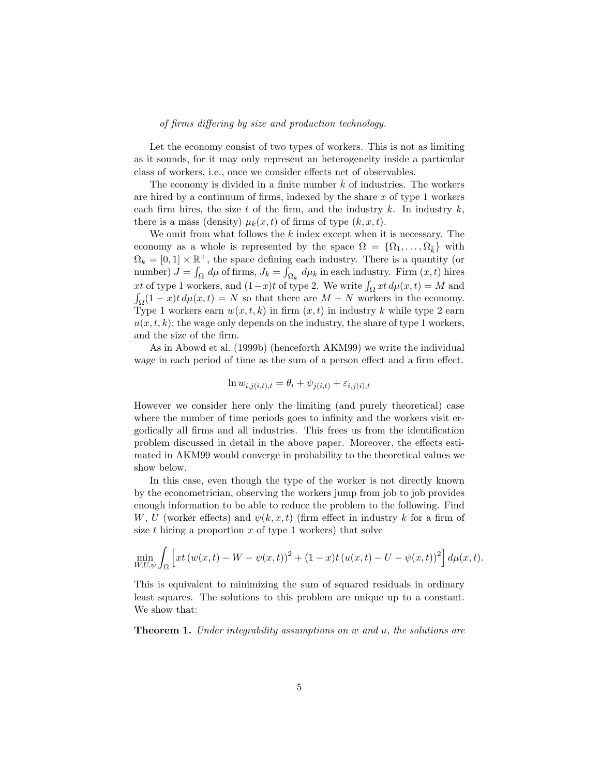#### of firms differing by size and production technology.

Let the economy consist of two types of workers. This is not as limiting as it sounds, for it may only represent an heterogeneity inside a particular class of workers, i.e., once we consider effects net of observables.

The economy is divided in a finite number  $k$  of industries. The workers are hired by a continuum of firms, indexed by the share  $x$  of type 1 workers each firm hires, the size t of the firm, and the industry  $k$ . In industry  $k$ , there is a mass (density)  $\mu_k(x,t)$  of firms of type  $(k, x, t)$ .

We omit from what follows the  $k$  index except when it is necessary. The economy as a whole is represented by the space  $\Omega = \{\Omega_1, \ldots, \Omega_{\bar{k}}\}\$  with  $\Omega_k = [0, 1] \times \mathbb{R}^+$ , the space defining each industry. There is a quantity (or number)  $J = \int_{\Omega} d\mu$  of firms,  $J_k = \int_{\Omega_k} d\mu_k$  in each industry. Firm  $(x, t)$  hires xt of type 1 workers, and  $(1-x)t$  of type 2. We write  $\int_{\Omega} xt \, d\mu(x,t) = M$  and  $\int_{\Omega} (1-x)t \, d\mu(x,t) = N$  so that there are  $M + N$  workers in the economy. Type 1 workers earn  $w(x, t, k)$  in firm  $(x, t)$  in industry k while type 2 earn  $u(x, t, k)$ ; the wage only depends on the industry, the share of type 1 workers, and the size of the firm.

As in Abowd et al. (1999b) (henceforth AKM99) we write the individual wage in each period of time as the sum of a person effect and a firm effect.

$$
\ln w_{i,j(i,t),t} = \theta_i + \psi_{j(i,t)} + \varepsilon_{i,j(i),t}
$$

However we consider here only the limiting (and purely theoretical) case where the number of time periods goes to infinity and the workers visit ergodically all firms and all industries. This frees us from the identification problem discussed in detail in the above paper. Moreover, the effects estimated in AKM99 would converge in probability to the theoretical values we show below.

In this case, even though the type of the worker is not directly known by the econometrician, observing the workers jump from job to job provides enough information to be able to reduce the problem to the following. Find W, U (worker effects) and  $\psi(k, x, t)$  (firm effect in industry k for a firm of size t hiring a proportion  $x$  of type 1 workers) that solve

$$
\min_{W,U,\psi} \int_{\Omega} \left[ xt \left( w(x,t) - W - \psi(x,t) \right)^2 + (1-x)t \left( u(x,t) - U - \psi(x,t) \right)^2 \right] d\mu(x,t).
$$

This is equivalent to minimizing the sum of squared residuals in ordinary least squares. The solutions to this problem are unique up to a constant. We show that:

Theorem 1. Under integrability assumptions on w and u, the solutions are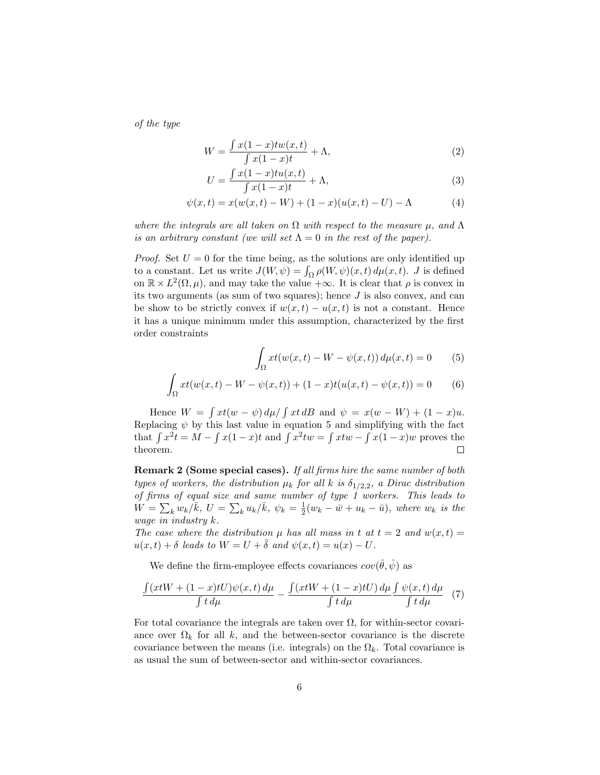of the type

$$
W = \frac{\int x(1-x)tw(x,t)}{\int x(1-x)t} + \Lambda,
$$
\n(2)

$$
U = \frac{\int x(1-x)tu(x,t)}{\int x(1-x)t} + \Lambda,\tag{3}
$$

$$
\psi(x,t) = x(w(x,t) - W) + (1 - x)(u(x,t) - U) - \Lambda
$$
\n(4)

where the integrals are all taken on  $\Omega$  with respect to the measure  $\mu$ , and  $\Lambda$ is an arbitrary constant (we will set  $\Lambda = 0$  in the rest of the paper).

*Proof.* Set  $U = 0$  for the time being, as the solutions are only identified up to a constant. Let us write  $J(W, \psi) = \int_{\Omega} \rho(W, \psi)(x, t) d\mu(x, t)$ . J is defined on  $\mathbb{R} \times L^2(\Omega, \mu)$ , and may take the value + $\infty$ . It is clear that  $\rho$  is convex in its two arguments (as sum of two squares); hence  $J$  is also convex, and can be show to be strictly convex if  $w(x,t) - u(x,t)$  is not a constant. Hence it has a unique minimum under this assumption, characterized by the first order constraints

$$
\int_{\Omega} xt(w(x,t) - W - \psi(x,t)) d\mu(x,t) = 0 \qquad (5)
$$

$$
\int_{\Omega} xt(w(x,t) - W - \psi(x,t)) + (1-x)t(u(x,t) - \psi(x,t)) = 0
$$
 (6)

Hence  $W = \int xt(w - \psi) d\mu / \int xt dB$  and  $\psi = x(w - W) + (1 - x)u$ . Replacing  $\psi$  by this last value in equation 5 and simplifying with the fact that  $\int x^2 t = M - \int x(1-x)t$  and  $\int x^2 tw = \int xtw - \int x(1-x)w$  proves the theorem.  $\Box$ 

Remark 2 (Some special cases). If all firms hire the same number of both types of workers, the distribution  $\mu_k$  for all k is  $\delta_{1/2,2}$ , a Dirac distribution of firms of equal size and same number of type 1 workers. This leads to  $W = \sum_k w_k / \bar{k}$ ,  $U = \sum_k u_k / \bar{k}$ ,  $\psi_k = \frac{1}{2}(w_k - \bar{w} + u_k - \bar{u})$ , where  $w_k$  is the wage in industry k.

The case where the distribution  $\mu$  has all mass in t at  $t = 2$  and  $w(x, t) =$  $u(x, t) + \delta$  leads to  $W = U + \overline{\delta}$  and  $\psi(x, t) = u(x) - U$ .

We define the firm-employee effects covariances  $cov(\hat{\theta}, \hat{\psi})$  as

$$
\frac{\int (xtW + (1-x)tU)\psi(x,t) d\mu}{\int t d\mu} - \frac{\int (xtW + (1-x)tU) d\mu}{\int t d\mu} \frac{\int \psi(x,t) d\mu}{\int t d\mu} \tag{7}
$$

For total covariance the integrals are taken over  $\Omega$ , for within-sector covariance over  $\Omega_k$  for all k, and the between-sector covariance is the discrete covariance between the means (i.e. integrals) on the  $\Omega_k$ . Total covariance is as usual the sum of between-sector and within-sector covariances.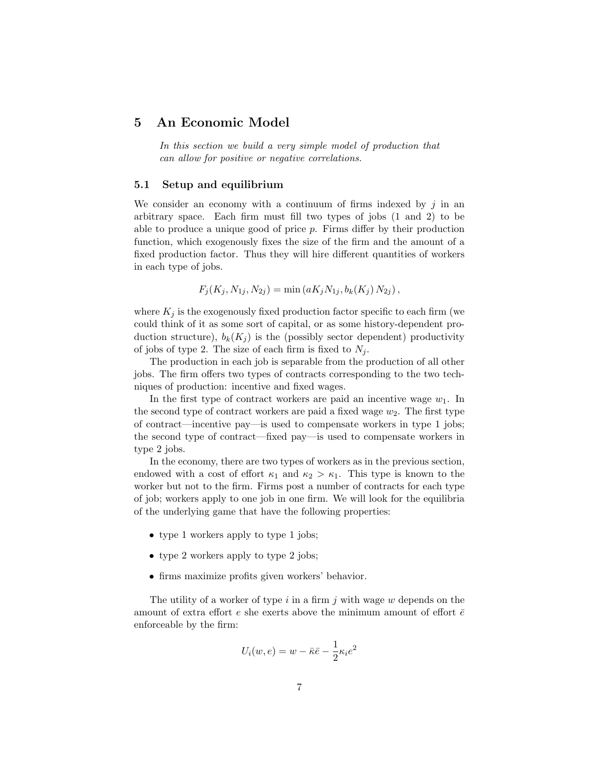### 5 An Economic Model

In this section we build a very simple model of production that can allow for positive or negative correlations.

#### 5.1 Setup and equilibrium

We consider an economy with a continuum of firms indexed by  $j$  in an arbitrary space. Each firm must fill two types of jobs (1 and 2) to be able to produce a unique good of price p. Firms differ by their production function, which exogenously fixes the size of the firm and the amount of a fixed production factor. Thus they will hire different quantities of workers in each type of jobs.

$$
F_j(K_j, N_{1j}, N_{2j}) = \min(aK_j N_{1j}, b_k(K_j) N_{2j}),
$$

where  $K_j$  is the exogenously fixed production factor specific to each firm (we could think of it as some sort of capital, or as some history-dependent production structure),  $b_k(K_i)$  is the (possibly sector dependent) productivity of jobs of type 2. The size of each firm is fixed to  $N_i$ .

The production in each job is separable from the production of all other jobs. The firm offers two types of contracts corresponding to the two techniques of production: incentive and fixed wages.

In the first type of contract workers are paid an incentive wage  $w_1$ . In the second type of contract workers are paid a fixed wage  $w_2$ . The first type of contract—incentive pay—is used to compensate workers in type 1 jobs; the second type of contract—fixed pay—is used to compensate workers in type 2 jobs.

In the economy, there are two types of workers as in the previous section, endowed with a cost of effort  $\kappa_1$  and  $\kappa_2 > \kappa_1$ . This type is known to the worker but not to the firm. Firms post a number of contracts for each type of job; workers apply to one job in one firm. We will look for the equilibria of the underlying game that have the following properties:

- type 1 workers apply to type 1 jobs;
- type 2 workers apply to type 2 jobs;
- firms maximize profits given workers' behavior.

The utility of a worker of type  $i$  in a firm  $j$  with wage  $w$  depends on the amount of extra effort  $e$  she exerts above the minimum amount of effort  $\bar{e}$ enforceable by the firm:

$$
U_i(w, e) = w - \bar{\kappa}\bar{e} - \frac{1}{2}\kappa_i e^2
$$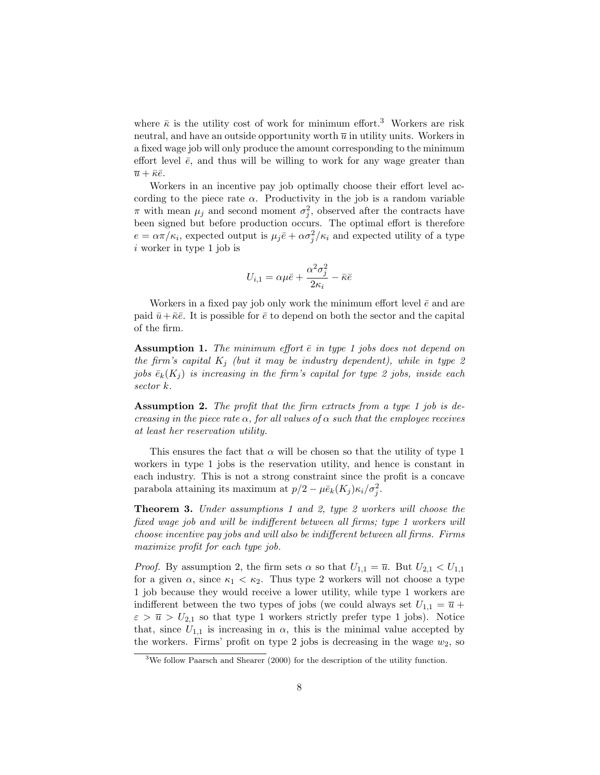where  $\bar{\kappa}$  is the utility cost of work for minimum effort.<sup>3</sup> Workers are risk neutral, and have an outside opportunity worth  $\overline{u}$  in utility units. Workers in a fixed wage job will only produce the amount corresponding to the minimum effort level  $\bar{e}$ , and thus will be willing to work for any wage greater than  $\overline{u} + \overline{\kappa} \overline{e}.$ 

Workers in an incentive pay job optimally choose their effort level according to the piece rate  $\alpha$ . Productivity in the job is a random variable  $\pi$  with mean  $\mu_j$  and second moment  $\sigma_j^2$ , observed after the contracts have been signed but before production occurs. The optimal effort is therefore  $e = \alpha \pi / \kappa_i$ , expected output is  $\mu_j \bar{e} + \alpha \sigma_j^2 / \kappa_i$  and expected utility of a type i worker in type 1 job is

$$
U_{i,1} = \alpha \mu \bar{e} + \frac{\alpha^2 \sigma_j^2}{2\kappa_i} - \bar{\kappa} \bar{e}
$$

Workers in a fixed pay job only work the minimum effort level  $\bar{e}$  and are paid  $\bar{u}+\bar{\kappa}\bar{e}$ . It is possible for  $\bar{e}$  to depend on both the sector and the capital of the firm.

**Assumption 1.** The minimum effort  $\bar{e}$  in type 1 jobs does not depend on the firm's capital  $K_i$  (but it may be industry dependent), while in type 2 jobs  $\bar{e}_k(K_i)$  is increasing in the firm's capital for type 2 jobs, inside each sector k.

Assumption 2. The profit that the firm extracts from a type 1 job is decreasing in the piece rate  $\alpha$ , for all values of  $\alpha$  such that the employee receives at least her reservation utility.

This ensures the fact that  $\alpha$  will be chosen so that the utility of type 1 workers in type 1 jobs is the reservation utility, and hence is constant in each industry. This is not a strong constraint since the profit is a concave parabola attaining its maximum at  $p/2 - \mu \bar{e}_k(K_j) \kappa_i / \sigma_j^2$ .

Theorem 3. Under assumptions 1 and 2, type 2 workers will choose the fixed wage job and will be indifferent between all firms; type 1 workers will choose incentive pay jobs and will also be indifferent between all firms. Firms maximize profit for each type job.

*Proof.* By assumption 2, the firm sets  $\alpha$  so that  $U_{1,1} = \overline{u}$ . But  $U_{2,1} < U_{1,1}$ for a given  $\alpha$ , since  $\kappa_1 < \kappa_2$ . Thus type 2 workers will not choose a type 1 job because they would receive a lower utility, while type 1 workers are indifferent between the two types of jobs (we could always set  $U_{1,1} = \overline{u} +$  $\varepsilon > \overline{u} > U_{2,1}$  so that type 1 workers strictly prefer type 1 jobs). Notice that, since  $U_{1,1}$  is increasing in  $\alpha$ , this is the minimal value accepted by the workers. Firms' profit on type 2 jobs is decreasing in the wage  $w_2$ , so

<sup>&</sup>lt;sup>3</sup>We follow Paarsch and Shearer (2000) for the description of the utility function.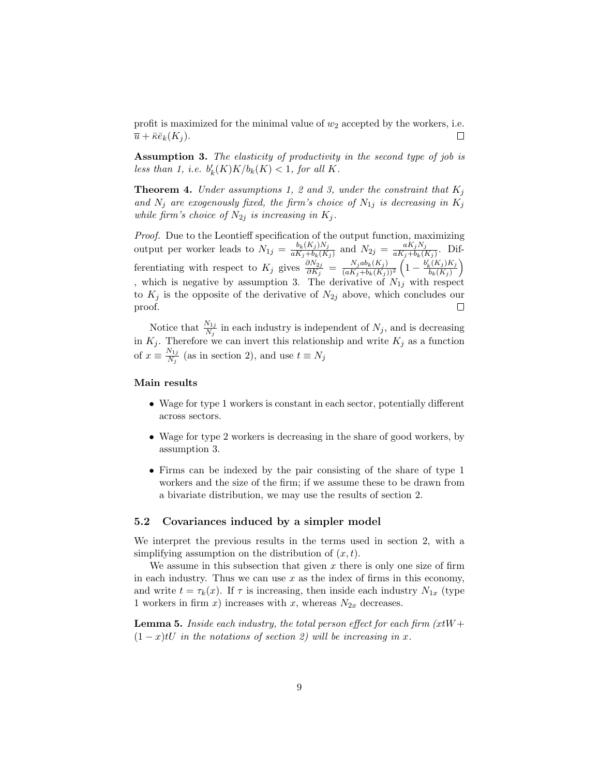profit is maximized for the minimal value of  $w_2$  accepted by the workers, i.e.  $\overline{u} + \overline{\kappa} \overline{e}_k(K_i)$ .  $\Box$ 

Assumption 3. The elasticity of productivity in the second type of job is less than 1, i.e.  $b'_k(K)K/b_k(K) < 1$ , for all K.

**Theorem 4.** Under assumptions 1, 2 and 3, under the constraint that  $K_i$ and  $N_j$  are exogenously fixed, the firm's choice of  $N_{1j}$  is decreasing in  $K_j$ while firm's choice of  $N_{2j}$  is increasing in  $K_j$ .

Proof. Due to the Leontieff specification of the output function, maximizing output per worker leads to  $N_{1j} = \frac{b_k(K_j)N_j}{aK_s + b_k(K_j)}$  $\frac{b_k(K_j)N_j}{aK_j+b_k(K_j)}$  and  $N_{2j} = \frac{aK_jN_j}{aK_j+b_k(K_j)}$  $\frac{a_{\mathbf{A}_j}N_j}{a_{\mathbf{A}_j}+b_{\mathbf{k}}(K_j)}$ . Dif- $\left(1-\frac{b_k'(K_j)K_j}{b_k(K_j)}\right)$ ferentiating with respect to  $K_j$  gives  $\frac{\partial N_{2j}}{\partial K_j} = \frac{N_j ab_k(K_j)}{(aK_j+b_k(K_j))}$  $\left(\frac{b_{s}(K_{j})K_{j}}{b_{k}(K_{j})}\right)$  $\overline{(aK_j+b_k(K_j))^2}$ , which is negative by assumption 3. The derivative of  $N_{1j}$  with respect to  $K_j$  is the opposite of the derivative of  $N_{2j}$  above, which concludes our proof.  $\Box$ 

Notice that  $\frac{N_{1j}}{N_j}$  in each industry is independent of  $N_j$ , and is decreasing in  $K_j$ . Therefore we can invert this relationship and write  $K_j$  as a function of  $x \equiv \frac{N_{1j}}{N}$  $\frac{N_{1j}}{N_j}$  (as in section 2), and use  $t \equiv N_j$ 

### Main results

- Wage for type 1 workers is constant in each sector, potentially different across sectors.
- Wage for type 2 workers is decreasing in the share of good workers, by assumption 3.
- Firms can be indexed by the pair consisting of the share of type 1 workers and the size of the firm; if we assume these to be drawn from a bivariate distribution, we may use the results of section 2.

### 5.2 Covariances induced by a simpler model

We interpret the previous results in the terms used in section 2, with a simplifying assumption on the distribution of  $(x, t)$ .

We assume in this subsection that given  $x$  there is only one size of firm in each industry. Thus we can use  $x$  as the index of firms in this economy, and write  $t = \tau_k(x)$ . If  $\tau$  is increasing, then inside each industry  $N_{1x}$  (type 1 workers in firm x) increases with x, whereas  $N_{2x}$  decreases.

**Lemma 5.** Inside each industry, the total person effect for each firm  $(xtW +$  $(1-x)tU$  in the notations of section 2) will be increasing in x.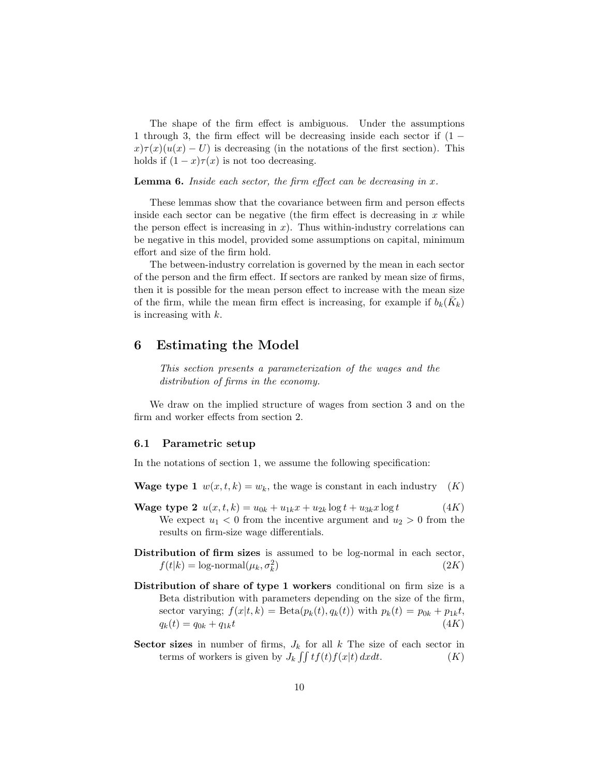The shape of the firm effect is ambiguous. Under the assumptions 1 through 3, the firm effect will be decreasing inside each sector if (1 −  $x\tau(x)(u(x) - U)$  is decreasing (in the notations of the first section). This holds if  $(1-x)\tau(x)$  is not too decreasing.

**Lemma 6.** Inside each sector, the firm effect can be decreasing in  $x$ .

These lemmas show that the covariance between firm and person effects inside each sector can be negative (the firm effect is decreasing in  $x$  while the person effect is increasing in  $x$ ). Thus within-industry correlations can be negative in this model, provided some assumptions on capital, minimum effort and size of the firm hold.

The between-industry correlation is governed by the mean in each sector of the person and the firm effect. If sectors are ranked by mean size of firms, then it is possible for the mean person effect to increase with the mean size of the firm, while the mean firm effect is increasing, for example if  $b_k(\bar{K}_k)$ is increasing with k.

# 6 Estimating the Model

This section presents a parameterization of the wages and the distribution of firms in the economy.

We draw on the implied structure of wages from section 3 and on the firm and worker effects from section 2.

#### 6.1 Parametric setup

In the notations of section 1, we assume the following specification:

- **Wage type 1**  $w(x, t, k) = w_k$ , the wage is constant in each industry  $(K)$
- **Wage type 2**  $u(x, t, k) = u_{0k} + u_{1k}x + u_{2k} \log t + u_{3k}x \log t$  (4K) We expect  $u_1 < 0$  from the incentive argument and  $u_2 > 0$  from the results on firm-size wage differentials.
- Distribution of firm sizes is assumed to be log-normal in each sector,  $f(t|k) = \log\text{-normal}(\mu_k, \sigma_k^2)$  $(2K)$
- Distribution of share of type 1 workers conditional on firm size is a Beta distribution with parameters depending on the size of the firm, sector varying;  $f(x|t, k) = \text{Beta}(p_k(t), q_k(t))$  with  $p_k(t) = p_{0k} + p_{1k}t$ ,  $q_k(t) = q_{0k} + q_{1k}t$  (4K)
- Sector sizes in number of firms,  $J_k$  for all k The size of each sector in terms of workers is given by  $J_k \iint tf(t)f(x|t) dxdt$ .  $(K)$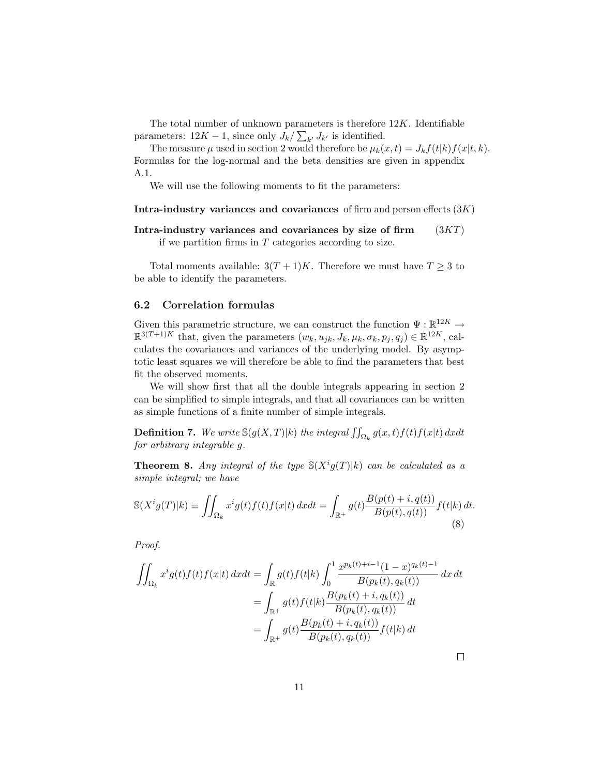The total number of unknown parameters is therefore  $12K$ . Identifiable parameters:  $12K - 1$ , since only  $J_k / \sum_{k'} J_{k'}$  is identified.

The measure  $\mu$  used in section 2 would therefore be  $\mu_k(x, t) = J_k f(t|k) f(x|t, k)$ . Formulas for the log-normal and the beta densities are given in appendix A.1.

We will use the following moments to fit the parameters:

Intra-industry variances and covariances of firm and person effects  $(3K)$ 

Intra-industry variances and covariances by size of firm  $(3KT)$ 

if we partition firms in  $T$  categories according to size.

Total moments available:  $3(T+1)K$ . Therefore we must have  $T \geq 3$  to be able to identify the parameters.

### 6.2 Correlation formulas

Given this parametric structure, we can construct the function  $\Psi : \mathbb{R}^{12K} \to$  $\mathbb{R}^{3(T+1)K}$  that, given the parameters  $(w_k, u_{jk}, J_k, \mu_k, \sigma_k, p_j, q_j) \in \mathbb{R}^{12K}$ , calculates the covariances and variances of the underlying model. By asymptotic least squares we will therefore be able to find the parameters that best fit the observed moments.

We will show first that all the double integrals appearing in section 2 can be simplified to simple integrals, and that all covariances can be written as simple functions of a finite number of simple integrals.

**Definition 7.** We write  $\mathbb{S}(g(X,T)|k)$  the integral  $\iint_{\Omega_k} g(x,t)f(t)f(x|t) dxdt$ for arbitrary integrable g.

**Theorem 8.** Any integral of the type  $\mathcal{S}(X^i g(T)|k)$  can be calculated as a simple integral; we have

$$
\mathbb{S}(X^{i}g(T)|k) \equiv \iint_{\Omega_{k}} x^{i}g(t)f(t)f(x|t) dx dt = \int_{\mathbb{R}^{+}} g(t) \frac{B(p(t) + i, q(t))}{B(p(t), q(t))} f(t|k) dt.
$$
\n(8)

Proof.

$$
\iint_{\Omega_k} x^i g(t) f(t) f(x|t) dx dt = \int_{\mathbb{R}} g(t) f(t|k) \int_0^1 \frac{x^{p_k(t)+i-1} (1-x)^{q_k(t)-1}}{B(p_k(t), q_k(t))} dx dt
$$

$$
= \int_{\mathbb{R}^+} g(t) f(t|k) \frac{B(p_k(t)+i, q_k(t))}{B(p_k(t), q_k(t))} dt
$$

$$
= \int_{\mathbb{R}^+} g(t) \frac{B(p_k(t)+i, q_k(t))}{B(p_k(t), q_k(t))} f(t|k) dt
$$

 $\Box$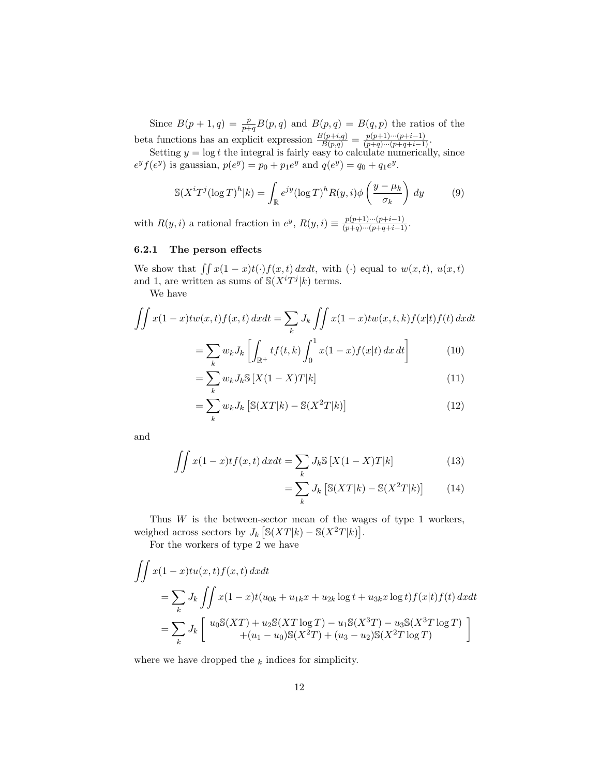Since  $B(p+1,q) = \frac{p}{p+q}B(p,q)$  and  $B(p,q) = B(q,p)$  the ratios of the beta functions has an explicit expression  $\frac{B(p+i,q)}{B(p,q)} = \frac{p(p+1)\cdots(p+i-1)}{(p+q)\cdots(p+q+i-1)}$ .

Setting  $y = \log t$  the integral is fairly easy to calculate numerically, since  $e^y f(e^y)$  is gaussian,  $p(e^y) = p_0 + p_1 e^y$  and  $q(e^y) = q_0 + q_1 e^y$ .

$$
\mathbb{S}(X^{i}T^{j}(\log T)^{h}|k) = \int_{\mathbb{R}} e^{jy} (\log T)^{h} R(y,i) \phi\left(\frac{y-\mu_{k}}{\sigma_{k}}\right) dy \tag{9}
$$

with  $R(y, i)$  a rational fraction in  $e^y$ ,  $R(y, i) \equiv \frac{p(p+1)\cdots(p+i-1)}{(p+q)\cdots(p+q+i-1)}$ .

#### 6.2.1 The person effects

We show that  $\iint x(1-x)t(\cdot)f(x,t) dxdt$ , with (·) equal to  $w(x, t)$ ,  $u(x, t)$ and 1, are written as sums of  $\mathcal{S}(X^i T^j | k)$  terms.

We have

$$
\iint x(1-x)tw(x,t)f(x,t) dxdt = \sum_{k} J_k \iint x(1-x)tw(x,t,k)f(x|t)f(t) dxdt
$$

$$
= \sum w_k J_k \left[ \int_{\mathbb{R}^+} tf(t,k) \int_{\mathbb{R}^+}^1 x(1-x)f(x|t) dx dt \right]
$$
(10)

$$
= \sum_{k} w_{k} J_{k} \mathbb{S} \left[ X(1-X)T|k \right]
$$
\n
$$
= \sum_{k} w_{k} J_{k} \mathbb{S} \left[ X(1-X)T|k \right]
$$
\n
$$
(11)
$$

$$
= \sum_{k}^{k} w_{k} J_{k} \left[ \mathbb{S}(XT|k) - \mathbb{S}(X^{2}T|k) \right]
$$
\n(12)

and

$$
\iint x(1-x)tf(x,t) dxdt = \sum_{k} J_k \mathbb{S}[X(1-X)T|k]
$$
\n(13)

$$
= \sum_{k} J_k \left[ \mathbb{S}(XT|k) - \mathbb{S}(X^2T|k) \right] \tag{14}
$$

Thus  $W$  is the between-sector mean of the wages of type 1 workers, weighed across sectors by  $J_k \left[ \mathbb{S}(XT|k) - \mathbb{S}(X^2T|k) \right]$ .

For the workers of type 2 we have

$$
\iint x(1-x)tu(x,t)f(x,t) dxdt
$$
  
=  $\sum_{k} J_{k} \iint x(1-x)t(u_{0k} + u_{1k}x + u_{2k} \log t + u_{3k}x \log t)f(x|t)f(t) dxdt$   
=  $\sum_{k} J_{k} \begin{bmatrix} u_{0}S(XT) + u_{2}S(XT \log T) - u_{1}S(X^{3}T) - u_{3}S(X^{3}T \log T) \\ + (u_{1} - u_{0})S(X^{2}T) + (u_{3} - u_{2})S(X^{2}T \log T) \end{bmatrix}$ 

where we have dropped the  $_k$  indices for simplicity.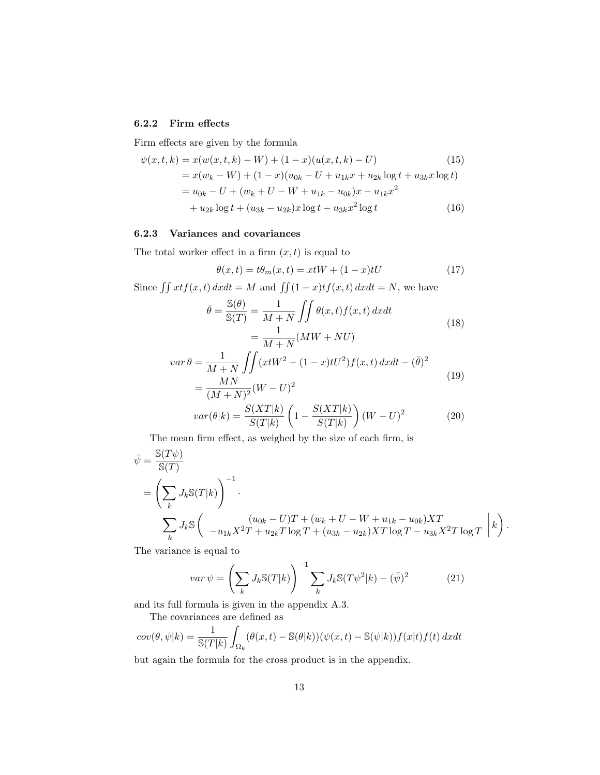### 6.2.2 Firm effects

Firm effects are given by the formula

$$
\psi(x,t,k) = x(w(x,t,k) - W) + (1 - x)(u(x,t,k) - U)
$$
(15)  
=  $x(w_k - W) + (1 - x)(u_{0k} - U + u_{1k}x + u_{2k}\log t + u_{3k}x \log t)$   
=  $u_{0k} - U + (w_k + U - W + u_{1k} - u_{0k})x - u_{1k}x^2$   
+  $u_{2k}\log t + (u_{3k} - u_{2k})x \log t - u_{3k}x^2 \log t$  (16)

# 6.2.3 Variances and covariances

The total worker effect in a firm  $(x, t)$  is equal to

$$
\theta(x,t) = t\theta_m(x,t) = xtW + (1-x)tU
$$
\n(17)

Since  $\iint xtf(x, t) dxdt = M$  and  $\iint (1 - x)tf(x, t) dxdt = N$ , we have

$$
\bar{\theta} = \frac{\mathbb{S}(\theta)}{\mathbb{S}(T)} = \frac{1}{M+N} \iint \theta(x,t) f(x,t) dx dt
$$

$$
= \frac{1}{M+N} (MW + NU)
$$
(18)

$$
var \theta = \frac{1}{M+N} \iint (xtW^2 + (1-x)tU^2) f(x,t) dxdt - (\bar{\theta})^2
$$
  
= 
$$
\frac{MN}{(M+N)^2} (W-U)^2
$$
 (19)

$$
var(\theta|k) = \frac{S(XT|k)}{S(T|k)} \left(1 - \frac{S(XT|k)}{S(T|k)}\right) (W - U)^2
$$
 (20)

The mean firm effect, as weighed by the size of each firm, is

$$
\begin{split} \bar{\psi} &= \frac{\mathbb{S}(T\psi)}{\mathbb{S}(T)} \\ &= \left(\sum_{k} J_k \mathbb{S}(T|k) \right)^{-1} . \\ & \sum_{k} J_k \mathbb{S}\left( \begin{array}{c} (u_{0k} - U)T + (w_k + U - W + u_{1k} - u_{0k})XT \\ -u_{1k}X^2T + u_{2k}T\log T + (u_{3k} - u_{2k})XT\log T - u_{3k}X^2T\log T \end{array} \right| k \right) \end{split}
$$

.

The variance is equal to

$$
var \,\psi = \left(\sum_{k} J_k \mathbb{S}(T|k)\right)^{-1} \sum_{k} J_k \mathbb{S}(T\psi^2|k) - (\bar{\psi})^2 \tag{21}
$$

and its full formula is given in the appendix A.3.

The covariances are defined as

$$
cov(\theta, \psi|k) = \frac{1}{\mathbb{S}(T|k)} \int_{\Omega_k} (\theta(x, t) - \mathbb{S}(\theta|k))(\psi(x, t) - \mathbb{S}(\psi|k))f(x|t)f(t) dx dt
$$

but again the formula for the cross product is in the appendix.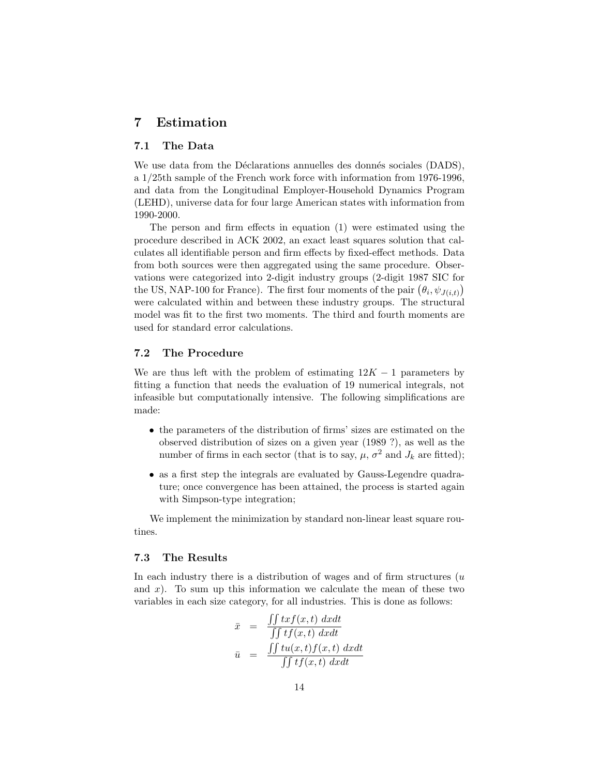# 7 Estimation

### 7.1 The Data

We use data from the Déclarations annuelles des donnés sociales (DADS), a 1/25th sample of the French work force with information from 1976-1996, and data from the Longitudinal Employer-Household Dynamics Program (LEHD), universe data for four large American states with information from 1990-2000.

The person and firm effects in equation (1) were estimated using the procedure described in ACK 2002, an exact least squares solution that calculates all identifiable person and firm effects by fixed-effect methods. Data from both sources were then aggregated using the same procedure. Observations were categorized into 2-digit industry groups (2-digit 1987 SIC for the US, NAP-100 for France). The first four moments of the pair  $(\theta_i, \psi_{J(i,t)})$ were calculated within and between these industry groups. The structural model was fit to the first two moments. The third and fourth moments are used for standard error calculations.

### 7.2 The Procedure

We are thus left with the problem of estimating  $12K - 1$  parameters by fitting a function that needs the evaluation of 19 numerical integrals, not infeasible but computationally intensive. The following simplifications are made:

- the parameters of the distribution of firms' sizes are estimated on the observed distribution of sizes on a given year (1989 ?), as well as the number of firms in each sector (that is to say,  $\mu$ ,  $\sigma^2$  and  $J_k$  are fitted);
- as a first step the integrals are evaluated by Gauss-Legendre quadrature; once convergence has been attained, the process is started again with Simpson-type integration;

We implement the minimization by standard non-linear least square routines.

#### 7.3 The Results

In each industry there is a distribution of wages and of firm structures  $(u$ and  $x$ ). To sum up this information we calculate the mean of these two variables in each size category, for all industries. This is done as follows:

$$
\bar{x} = \frac{\iint txf(x,t) dxdt}{\iint tf(x,t) dxdt}
$$

$$
\bar{u} = \frac{\iint tu(x,t)f(x,t) dxdt}{\iint tf(x,t) dxdt}
$$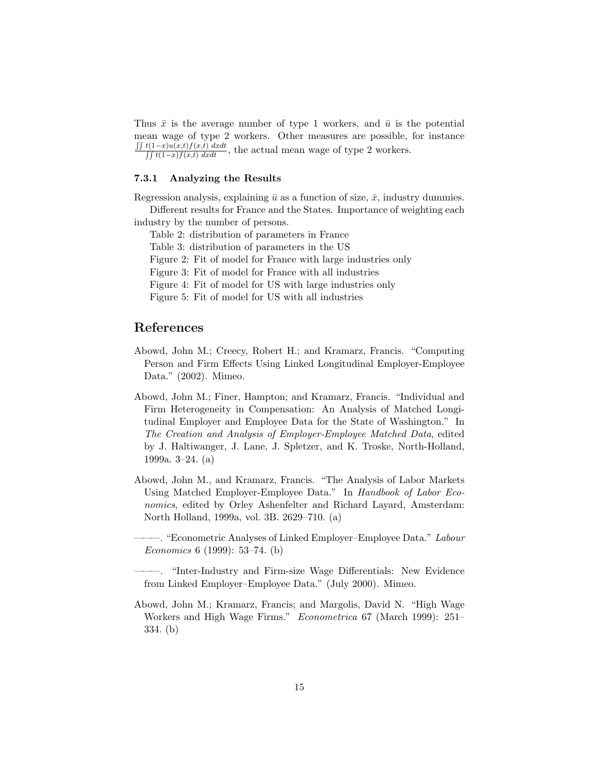Thus  $\bar{x}$  is the average number of type 1 workers, and  $\bar{u}$  is the potential mean wage of type 2 workers. Other measures are possible, for instance  $\frac{\int \int f(1-x)u(x,t)f(x,t) dxdt}{\int \int f(1-x)f(x,t) dxdt}$ , the actual mean wage of type 2 workers.

#### 7.3.1 Analyzing the Results

Regression analysis, explaining  $\bar{u}$  as a function of size,  $\bar{x}$ , industry dummies. Different results for France and the States. Importance of weighting each

industry by the number of persons.

Table 2: distribution of parameters in France

Table 3: distribution of parameters in the US

Figure 2: Fit of model for France with large industries only

Figure 3: Fit of model for France with all industries

Figure 4: Fit of model for US with large industries only

Figure 5: Fit of model for US with all industries

# References

- Abowd, John M.; Creecy, Robert H.; and Kramarz, Francis. "Computing Person and Firm Effects Using Linked Longitudinal Employer-Employee Data." (2002). Mimeo.
- Abowd, John M.; Finer, Hampton; and Kramarz, Francis. "Individual and Firm Heterogeneity in Compensation: An Analysis of Matched Longitudinal Employer and Employee Data for the State of Washington." In The Creation and Analysis of Employer-Employee Matched Data, edited by J. Haltiwanger, J. Lane, J. Spletzer, and K. Troske, North-Holland, 1999a. 3–24. (a)
- Abowd, John M., and Kramarz, Francis. "The Analysis of Labor Markets Using Matched Employer-Employee Data." In Handbook of Labor Economics, edited by Orley Ashenfelter and Richard Layard, Amsterdam: North Holland, 1999a, vol. 3B. 2629–710. (a)

-. "Econometric Analyses of Linked Employer-Employee Data." Labour Economics 6 (1999): 53–74. (b)

Abowd, John M.; Kramarz, Francis; and Margolis, David N. "High Wage Workers and High Wage Firms." Econometrica 67 (March 1999): 251– 334. (b)

<sup>———. &</sup>quot;Inter-Industry and Firm-size Wage Differentials: New Evidence from Linked Employer–Employee Data." (July 2000). Mimeo.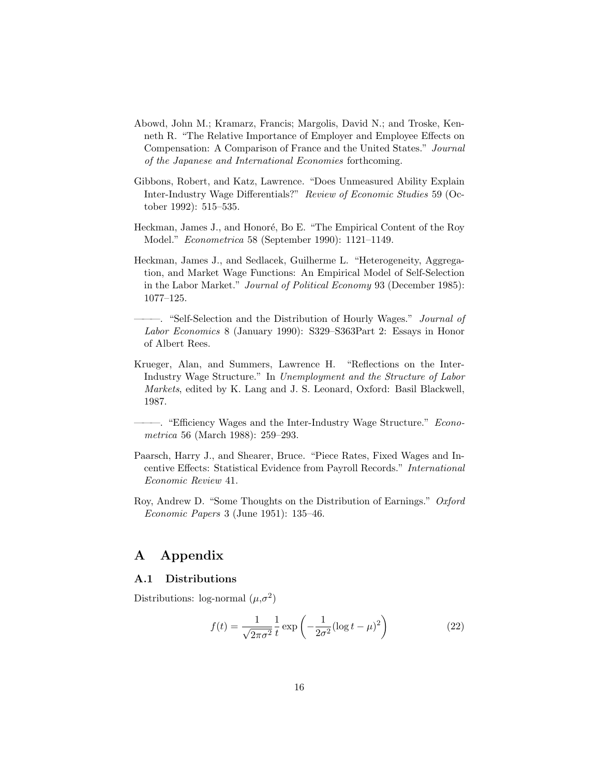- Abowd, John M.; Kramarz, Francis; Margolis, David N.; and Troske, Kenneth R. "The Relative Importance of Employer and Employee Effects on Compensation: A Comparison of France and the United States." Journal of the Japanese and International Economies forthcoming.
- Gibbons, Robert, and Katz, Lawrence. "Does Unmeasured Ability Explain Inter-Industry Wage Differentials?" Review of Economic Studies 59 (October 1992): 515–535.
- Heckman, James J., and Honoré, Bo E. "The Empirical Content of the Roy Model." Econometrica 58 (September 1990): 1121–1149.
- Heckman, James J., and Sedlacek, Guilherme L. "Heterogeneity, Aggregation, and Market Wage Functions: An Empirical Model of Self-Selection in the Labor Market." Journal of Political Economy 93 (December 1985): 1077–125.
- -. "Self-Selection and the Distribution of Hourly Wages." *Journal of* Labor Economics 8 (January 1990): S329–S363Part 2: Essays in Honor of Albert Rees.
- Krueger, Alan, and Summers, Lawrence H. "Reflections on the Inter-Industry Wage Structure." In Unemployment and the Structure of Labor Markets, edited by K. Lang and J. S. Leonard, Oxford: Basil Blackwell, 1987.

-. "Efficiency Wages and the Inter-Industry Wage Structure." Econometrica 56 (March 1988): 259–293.

- Paarsch, Harry J., and Shearer, Bruce. "Piece Rates, Fixed Wages and Incentive Effects: Statistical Evidence from Payroll Records." International Economic Review 41.
- Roy, Andrew D. "Some Thoughts on the Distribution of Earnings." Oxford Economic Papers 3 (June 1951): 135–46.

# A Appendix

### A.1 Distributions

Distributions: log-normal  $(\mu, \sigma^2)$ 

$$
f(t) = \frac{1}{\sqrt{2\pi\sigma^2}} \frac{1}{t} \exp\left(-\frac{1}{2\sigma^2} (\log t - \mu)^2\right)
$$
 (22)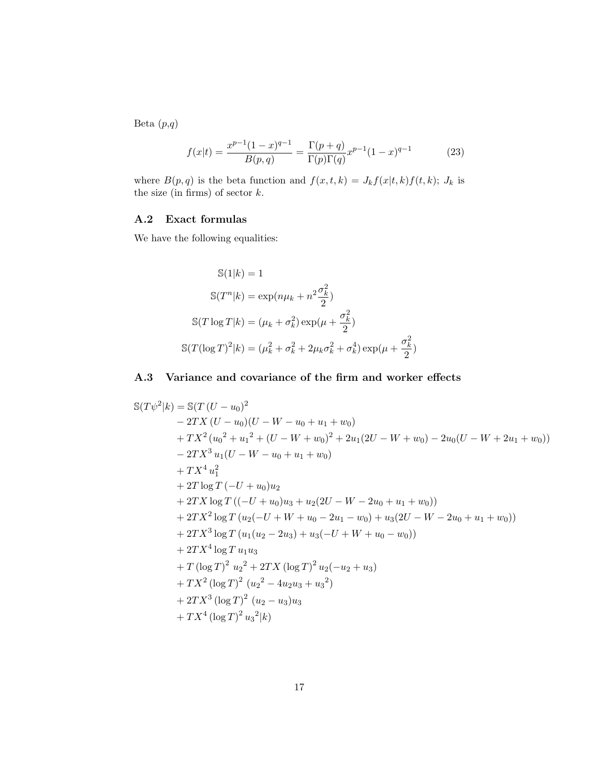Beta  $(p,q)$ 

$$
f(x|t) = \frac{x^{p-1}(1-x)^{q-1}}{B(p,q)} = \frac{\Gamma(p+q)}{\Gamma(p)\Gamma(q)} x^{p-1} (1-x)^{q-1}
$$
 (23)

where  $B(p, q)$  is the beta function and  $f(x, t, k) = J_k f(x|t, k) f(t, k); J_k$  is the size (in firms) of sector  $k$ .

### A.2 Exact formulas

We have the following equalities:

$$
\mathbb{S}(1|k) = 1
$$
  
\n
$$
\mathbb{S}(T^n|k) = \exp(n\mu_k + n^2 \frac{\sigma_k^2}{2})
$$
  
\n
$$
\mathbb{S}(T \log T|k) = (\mu_k + \sigma_k^2) \exp(\mu + \frac{\sigma_k^2}{2})
$$
  
\n
$$
\mathbb{S}(T(\log T)^2|k) = (\mu_k^2 + \sigma_k^2 + 2\mu_k \sigma_k^2 + \sigma_k^4) \exp(\mu + \frac{\sigma_k^2}{2})
$$

# A.3 Variance and covariance of the firm and worker effects

$$
S(T\psi^2|k) = S(T (U - u_0)^2
$$
  
\n
$$
- 2TX (U - u_0)(U - W - u_0 + u_1 + w_0)
$$
  
\n
$$
+ TX^2 (u_0^2 + u_1^2 + (U - W + w_0)^2 + 2u_1(2U - W + w_0) - 2u_0(U - W + 2u_1 + w_0))
$$
  
\n
$$
- 2TX^3 u_1(U - W - u_0 + u_1 + w_0)
$$
  
\n
$$
+ TX^4 u_1^2
$$
  
\n
$$
+ 2T \log T (-U + u_0)u_2
$$
  
\n
$$
+ 2TX \log T ((-U + u_0)u_3 + u_2(2U - W - 2u_0 + u_1 + w_0))
$$
  
\n
$$
+ 2TX^2 \log T (u_2(-U + W + u_0 - 2u_1 - w_0) + u_3(2U - W - 2u_0 + u_1 + w_0))
$$
  
\n
$$
+ 2TX^3 \log T (u_1(u_2 - 2u_3) + u_3(-U + W + u_0 - w_0))
$$
  
\n
$$
+ 2TX^4 \log T u_1 u_3
$$
  
\n
$$
+ T (\log T)^2 u_2^2 + 2TX (\log T)^2 u_2(-u_2 + u_3)
$$
  
\n
$$
+ TX^2 (\log T)^2 (u_2^2 - 4u_2u_3 + u_3^2)
$$
  
\n
$$
+ 2TX^3 (\log T)^2 (u_2 - u_3)u_3
$$
  
\n
$$
+ TX^4 (\log T)^2 u_3^2 |k)
$$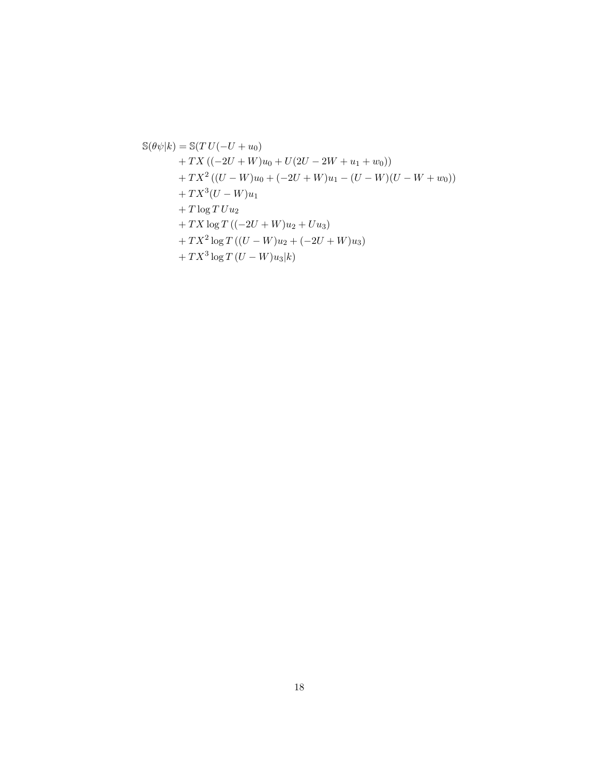$$
\mathbb{S}(\theta\psi|k) = \mathbb{S}(TU(-U+u_0)
$$
  
+TX ((-2U+W)u<sub>0</sub> + U(2U - 2W + u<sub>1</sub> + w<sub>0</sub>))  
+ TX<sup>2</sup> ((U - W)u<sub>0</sub> + (-2U + W)u<sub>1</sub> - (U - W)(U - W + w<sub>0</sub>))  
+ TX<sup>3</sup>(U - W)u<sub>1</sub>  
+ T \log TUu<sub>2</sub>  
+ TX \log T ((-2U + W)u<sub>2</sub> + Uu<sub>3</sub>)  
+ TX<sup>2</sup> \log T ((U - W)u<sub>2</sub> + (-2U + W)u<sub>3</sub>)  
+ TX<sup>3</sup> \log T (U - W)u<sub>3</sub>|k)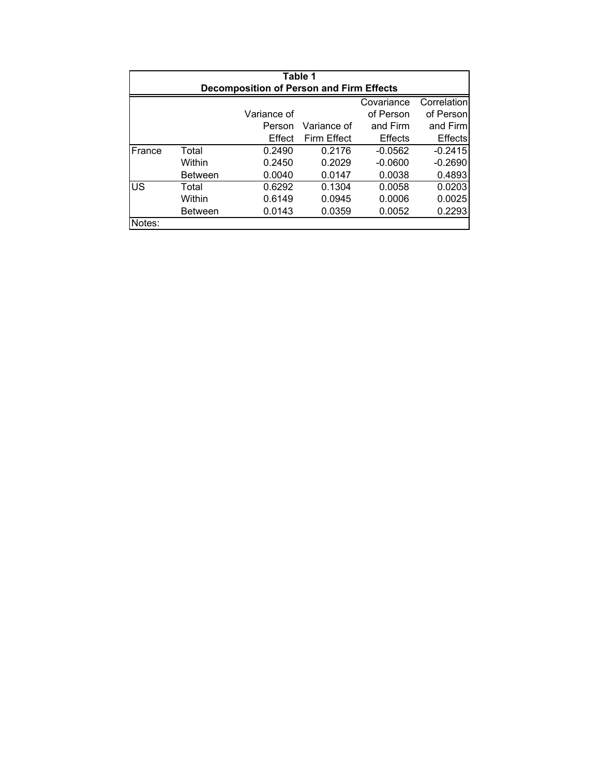| Table 1<br><b>Decomposition of Person and Firm Effects</b> |                |             |                    |                |                |  |  |
|------------------------------------------------------------|----------------|-------------|--------------------|----------------|----------------|--|--|
|                                                            |                |             |                    | Covariance     | Correlation    |  |  |
|                                                            |                | Variance of |                    | of Person      | of Person      |  |  |
|                                                            |                | Person      | Variance of        | and Firm       | and Firm       |  |  |
|                                                            |                | Effect      | <b>Firm Effect</b> | <b>Effects</b> | <b>Effects</b> |  |  |
| France                                                     | Total          | 0.2490      | 0.2176             | $-0.0562$      | $-0.2415$      |  |  |
|                                                            | Within         | 0.2450      | 0.2029             | $-0.0600$      | $-0.2690$      |  |  |
|                                                            | <b>Between</b> | 0.0040      | 0.0147             | 0.0038         | 0.4893         |  |  |
| US                                                         | Total          | 0.6292      | 0.1304             | 0.0058         | 0.0203         |  |  |
|                                                            | Within         | 0.6149      | 0.0945             | 0.0006         | 0.0025         |  |  |
|                                                            | <b>Between</b> | 0.0143      | 0.0359             | 0.0052         | 0.2293         |  |  |
| Notes:                                                     |                |             |                    |                |                |  |  |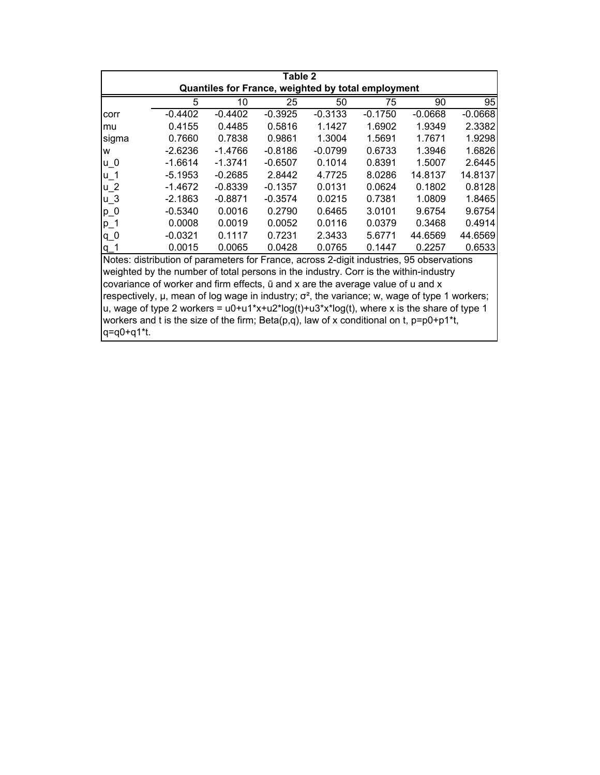| Table 2                                                                                                   |                                                                                          |           |           |           |           |           |           |  |
|-----------------------------------------------------------------------------------------------------------|------------------------------------------------------------------------------------------|-----------|-----------|-----------|-----------|-----------|-----------|--|
| Quantiles for France, weighted by total employment                                                        |                                                                                          |           |           |           |           |           |           |  |
|                                                                                                           | 5                                                                                        | 10        | 25        | 50        | 75        | 90        | 95        |  |
| corr                                                                                                      | $-0.4402$                                                                                | $-0.4402$ | $-0.3925$ | $-0.3133$ | $-0.1750$ | $-0.0668$ | $-0.0668$ |  |
| mu                                                                                                        | 0.4155                                                                                   | 0.4485    | 0.5816    | 1.1427    | 1.6902    | 1.9349    | 2.3382    |  |
| sigma                                                                                                     | 0.7660                                                                                   | 0.7838    | 0.9861    | 1.3004    | 1.5691    | 1.7671    | 1.9298    |  |
| W                                                                                                         | $-2.6236$                                                                                | -1.4766   | $-0.8186$ | $-0.0799$ | 0.6733    | 1.3946    | 1.6826    |  |
| $u_0$                                                                                                     | $-1.6614$                                                                                | $-1.3741$ | $-0.6507$ | 0.1014    | 0.8391    | 1.5007    | 2.6445    |  |
| $u_1$                                                                                                     | $-5.1953$                                                                                | $-0.2685$ | 2.8442    | 4.7725    | 8.0286    | 14.8137   | 14.8137   |  |
| $u_2$                                                                                                     | $-1.4672$                                                                                | $-0.8339$ | $-0.1357$ | 0.0131    | 0.0624    | 0.1802    | 0.8128    |  |
| $u_3$                                                                                                     | $-2.1863$                                                                                | $-0.8871$ | $-0.3574$ | 0.0215    | 0.7381    | 1.0809    | 1.8465    |  |
| $p_0$                                                                                                     | $-0.5340$                                                                                | 0.0016    | 0.2790    | 0.6465    | 3.0101    | 9.6754    | 9.6754    |  |
| $p_1$                                                                                                     | 0.0008                                                                                   | 0.0019    | 0.0052    | 0.0116    | 0.0379    | 0.3468    | 0.4914    |  |
| $q_0$                                                                                                     | $-0.0321$                                                                                | 0.1117    | 0.7231    | 2.3433    | 5.6771    | 44.6569   | 44.6569   |  |
| $q_1$                                                                                                     | 0.0015                                                                                   | 0.0065    | 0.0428    | 0.0765    | 0.1447    | 0.2257    | 0.6533    |  |
|                                                                                                           | Notes: distribution of parameters for France, across 2-digit industries, 95 observations |           |           |           |           |           |           |  |
| weighted by the number of total persons in the industry. Corr is the within-industry                      |                                                                                          |           |           |           |           |           |           |  |
| covariance of worker and firm effects, $\bar{u}$ and x are the average value of u and x                   |                                                                                          |           |           |           |           |           |           |  |
| respectively, $\mu$ , mean of log wage in industry; $\sigma^2$ , the variance; w, wage of type 1 workers; |                                                                                          |           |           |           |           |           |           |  |
| u, wage of type 2 workers = $u0+u1*x+u2*log(t)+u3*x*log(t)$ , where x is the share of type 1              |                                                                                          |           |           |           |           |           |           |  |
| workers and t is the size of the firm; Beta(p,q), law of x conditional on t, $p=p0+p1*t$ ,                |                                                                                          |           |           |           |           |           |           |  |
| q=q0+q1*t.                                                                                                |                                                                                          |           |           |           |           |           |           |  |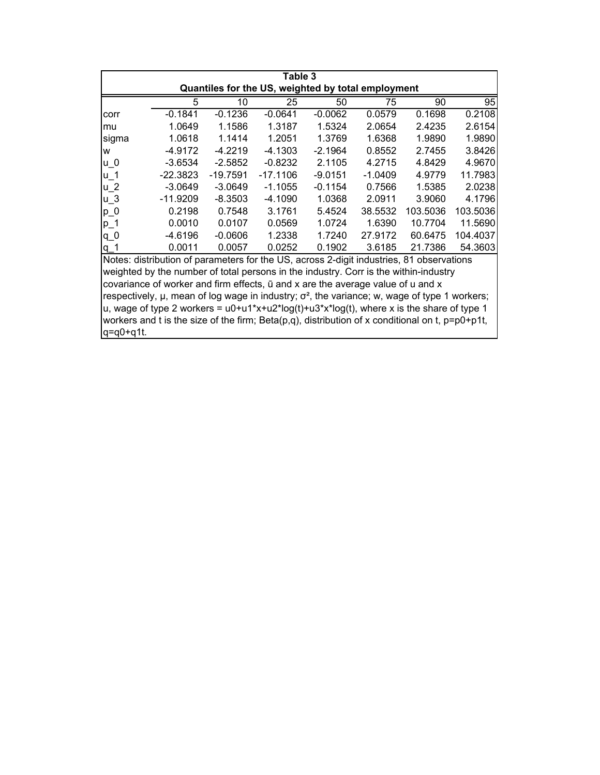| Table 3                                                                                             |            |            |            |           |         |          |          |  |
|-----------------------------------------------------------------------------------------------------|------------|------------|------------|-----------|---------|----------|----------|--|
| Quantiles for the US, weighted by total employment                                                  |            |            |            |           |         |          |          |  |
|                                                                                                     | 5          | 10         | 25         | 50        | 75      | 90       | 95       |  |
| corr                                                                                                | $-0.1841$  | $-0.1236$  | $-0.0641$  | $-0.0062$ | 0.0579  | 0.1698   | 0.2108   |  |
| mu                                                                                                  | 1.0649     | 1.1586     | 1.3187     | 1.5324    | 2.0654  | 2.4235   | 2.6154   |  |
| sigma                                                                                               | 1.0618     | 1.1414     | 1.2051     | 1.3769    | 1.6368  | 1.9890   | 1.9890   |  |
| w                                                                                                   | -4.9172    | $-4.2219$  | -4.1303    | $-2.1964$ | 0.8552  | 2.7455   | 3.8426   |  |
| u O                                                                                                 | $-3.6534$  | $-2.5852$  | $-0.8232$  | 2.1105    | 4.2715  | 4.8429   | 4.9670   |  |
| $u_1$                                                                                               | $-22.3823$ | $-19.7591$ | $-17.1106$ | $-9.0151$ | -1.0409 | 4.9779   | 11.7983  |  |
| $u_2$                                                                                               | -3.0649    | $-3.0649$  | $-1.1055$  | $-0.1154$ | 0.7566  | 1.5385   | 2.0238   |  |
| $u_3$                                                                                               | $-11.9209$ | $-8.3503$  | -4.1090    | 1.0368    | 2.0911  | 3.9060   | 4.1796   |  |
| $p_0$                                                                                               | 0.2198     | 0.7548     | 3.1761     | 5.4524    | 38.5532 | 103.5036 | 103.5036 |  |
| $p_1$                                                                                               | 0.0010     | 0.0107     | 0.0569     | 1.0724    | 1.6390  | 10.7704  | 11.5690  |  |
| $q_0$                                                                                               | -4.6196    | $-0.0606$  | 1.2338     | 1.7240    | 27.9172 | 60.6475  | 104.4037 |  |
| $q_1$                                                                                               | 0.0011     | 0.0057     | 0.0252     | 0.1902    | 3.6185  | 21.7386  | 54.3603  |  |
| Notes: distribution of parameters for the US, across 2-digit industries, 81 observations            |            |            |            |           |         |          |          |  |
| weighted by the number of total persons in the industry. Corr is the within-industry                |            |            |            |           |         |          |          |  |
| covariance of worker and firm effects, ū and x are the average value of u and x                     |            |            |            |           |         |          |          |  |
| روسوراسون رام ومربا كوروموس برزوموموسوس وطلا 2 مسلوبام شامران والموسود ومالم وموموس بالمرباني ومومو |            |            |            |           |         |          |          |  |

respectively,  $\mu$ , mean of log wage in industry;  $\sigma^2$ , the variance; w, wage of type 1 workers;  $|u|$ , wage of type 2 workers = u0+u1\*x+u2\*log(t)+u3\*x\*log(t), where x is the share of type 1 workers and t is the size of the firm; Beta(p,q), distribution of x conditional on t, p=p0+p1t, q=q0+q1t.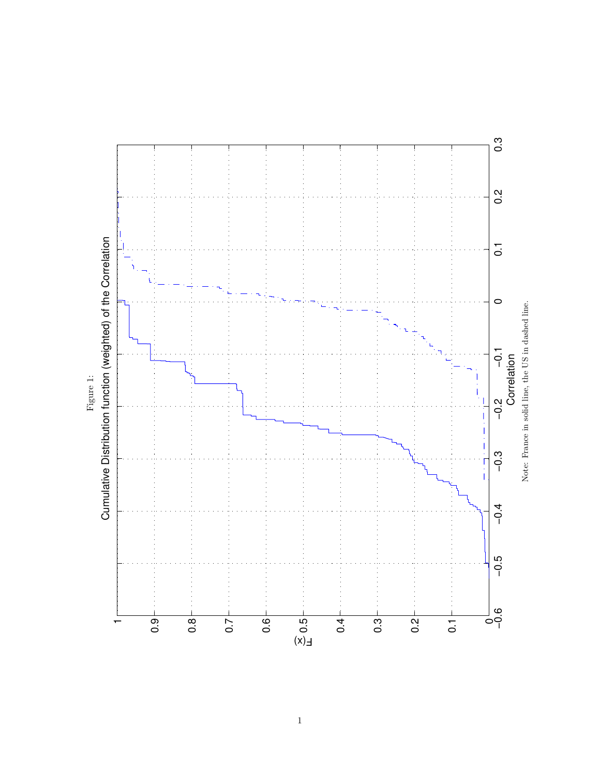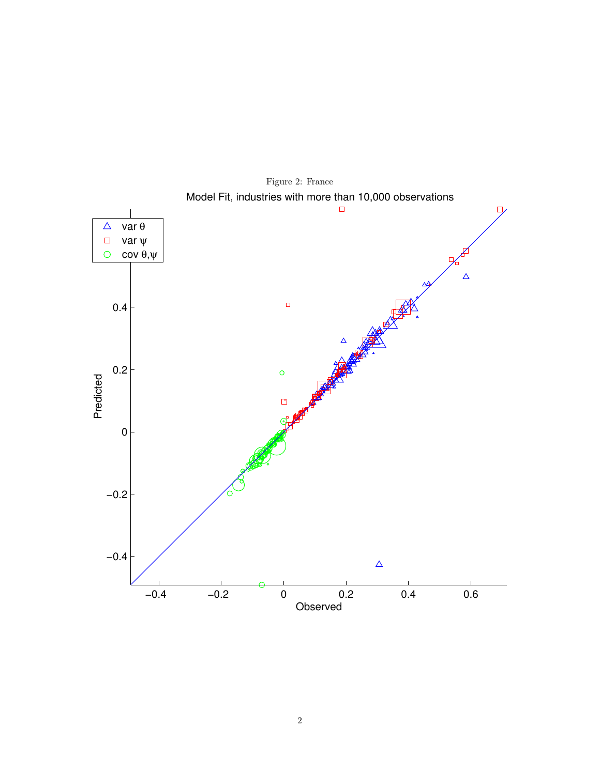

Figure 2: France Model Fit, industries with more than 10,000 observations  $\Box$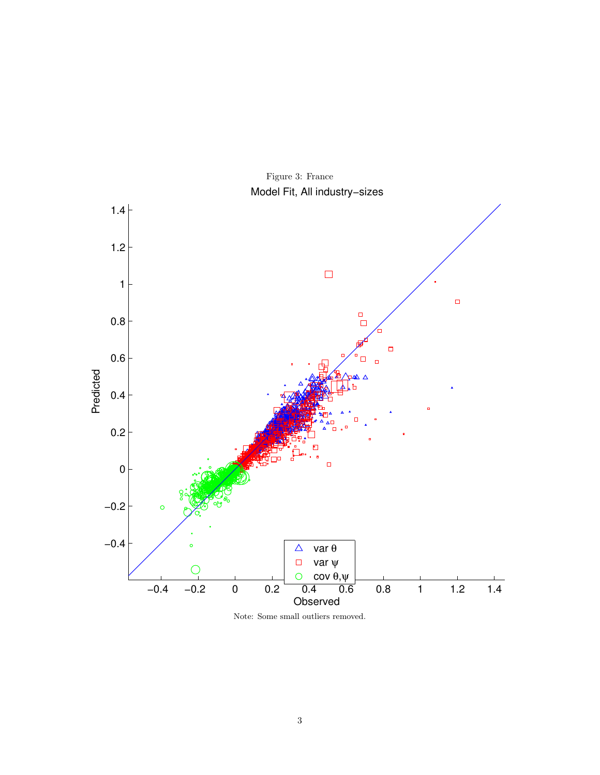

Figure 3: France Model Fit, All industry−sizes

Note: Some small outliers removed.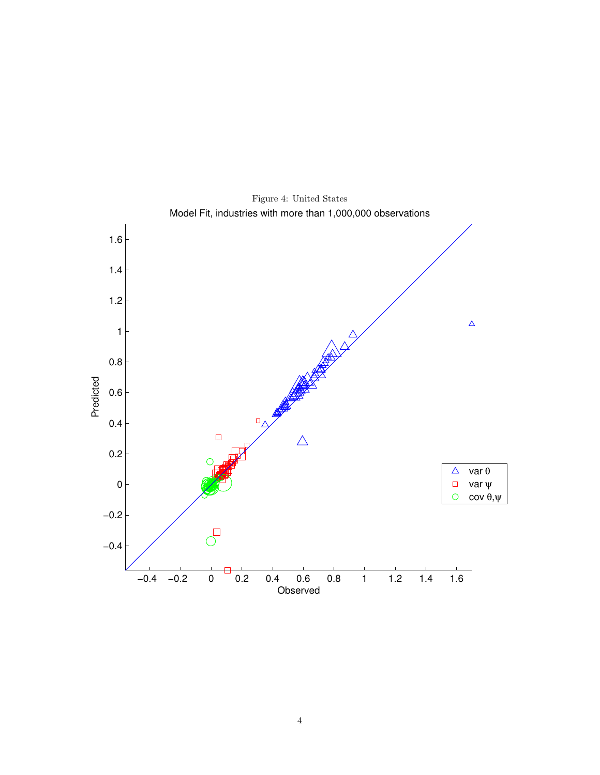

Figure 4: United States Model Fit, industries with more than 1,000,000 observations